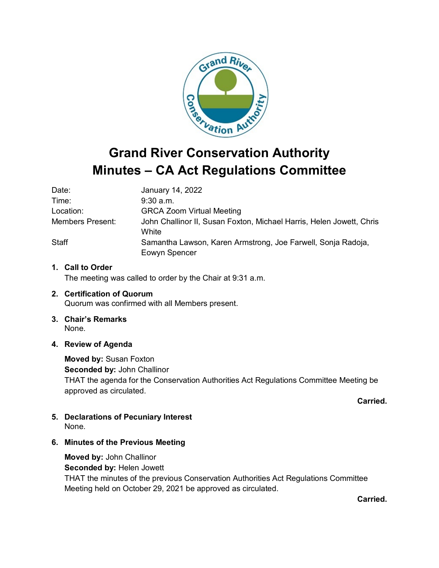

# **Minutes – CA Act Regulations Committee**

| Date:                   | January 14, 2022                                                              |
|-------------------------|-------------------------------------------------------------------------------|
| Time:                   | $9:30$ a.m.                                                                   |
| Location:               | <b>GRCA Zoom Virtual Meeting</b>                                              |
| <b>Members Present:</b> | John Challinor II, Susan Foxton, Michael Harris, Helen Jowett, Chris<br>White |
| <b>Staff</b>            | Samantha Lawson, Karen Armstrong, Joe Farwell, Sonja Radoja,<br>Eowyn Spencer |

# **1. Call to Order**

The meeting was called to order by the Chair at 9:31 a.m.

- **2. Certification of Quorum** Quorum was confirmed with all Members present.
- **3. Chair's Remarks** None.
- **4. Review of Agenda**

**Moved by:** Susan Foxton **Seconded by:** John Challinor THAT the agenda for the Conservation Authorities Act Regulations Committee Meeting be approved as circulated.

**Carried.**

- **5. Declarations of Pecuniary Interest** None.
- **6. Minutes of the Previous Meeting**

**Moved by:** John Challinor **Seconded by:** Helen Jowett THAT the minutes of the previous Conservation Authorities Act Regulations Committee Meeting held on October 29, 2021 be approved as circulated.

**Carried.**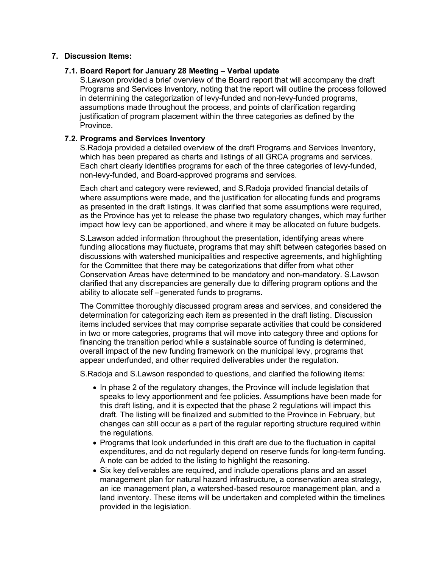# **7. Discussion Items:**

# **7.1. Board Report for January 28 Meeting – Verbal update**

S.Lawson provided a brief overview of the Board report that will accompany the draft Programs and Services Inventory, noting that the report will outline the process followed in determining the categorization of levy-funded and non-levy-funded programs, assumptions made throughout the process, and points of clarification regarding justification of program placement within the three categories as defined by the **Province** 

## **7.2. Programs and Services Inventory**

S.Radoja provided a detailed overview of the draft Programs and Services Inventory, which has been prepared as charts and listings of all GRCA programs and services. Each chart clearly identifies programs for each of the three categories of levy-funded, non-levy-funded, and Board-approved programs and services.

Each chart and category were reviewed, and S.Radoja provided financial details of where assumptions were made, and the justification for allocating funds and programs as presented in the draft listings. It was clarified that some assumptions were required, as the Province has yet to release the phase two regulatory changes, which may further impact how levy can be apportioned, and where it may be allocated on future budgets.

S.Lawson added information throughout the presentation, identifying areas where funding allocations may fluctuate, programs that may shift between categories based on discussions with watershed municipalities and respective agreements, and highlighting for the Committee that there may be categorizations that differ from what other Conservation Areas have determined to be mandatory and non-mandatory. S.Lawson clarified that any discrepancies are generally due to differing program options and the ability to allocate self –generated funds to programs.

The Committee thoroughly discussed program areas and services, and considered the determination for categorizing each item as presented in the draft listing. Discussion items included services that may comprise separate activities that could be considered in two or more categories, programs that will move into category three and options for financing the transition period while a sustainable source of funding is determined, overall impact of the new funding framework on the municipal levy, programs that appear underfunded, and other required deliverables under the regulation.

S.Radoja and S.Lawson responded to questions, and clarified the following items:

- In phase 2 of the regulatory changes, the Province will include legislation that speaks to levy apportionment and fee policies. Assumptions have been made for this draft listing, and it is expected that the phase 2 regulations will impact this draft. The listing will be finalized and submitted to the Province in February, but changes can still occur as a part of the regular reporting structure required within the regulations.
- Programs that look underfunded in this draft are due to the fluctuation in capital expenditures, and do not regularly depend on reserve funds for long-term funding. A note can be added to the listing to highlight the reasoning.
- Six key deliverables are required, and include operations plans and an asset management plan for natural hazard infrastructure, a conservation area strategy, an ice management plan, a watershed-based resource management plan, and a land inventory. These items will be undertaken and completed within the timelines provided in the legislation.